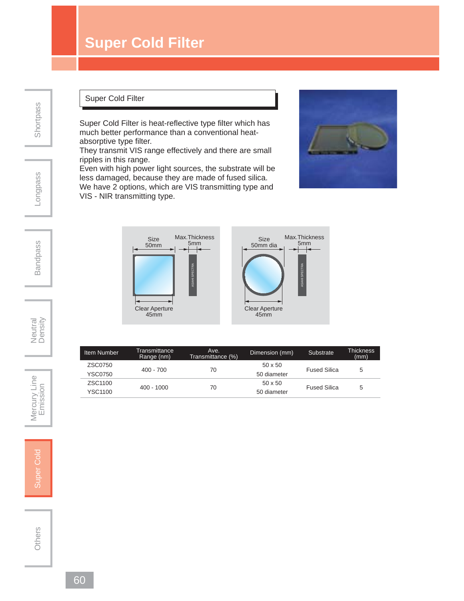## **Super Cold Filter**

**Shortpass** 

## Longpass

Bandpass

## Super Cold Filter

Super Cold Filter is heat-reflective type filter which has much better performance than a conventional heatabsorptive type filter.

They transmit VIS range effectively and there are small ripples in this range.

Even with high power light sources, the substrate will be less damaged, because they are made of fused silica. We have 2 options, which are VIS transmitting type and VIS - NIR transmitting type.

400 - 700 70

400 - 1000 70





Item Number Fransmittance Moe. Dimension (mm) Substrate Thickness<br>(mm) Range (nm) Transmittance (%) Com

50 x 50 Fused Silica 5 YSC0750 50 diameter

50 x 50 Fused Silica 5 YSC1100 50 diameter

Neutral<br>Density

Mercury Line Mercury Line<br>Super Cold<br>Emission

Super Cold

Others

ZSC0750

ZSC1100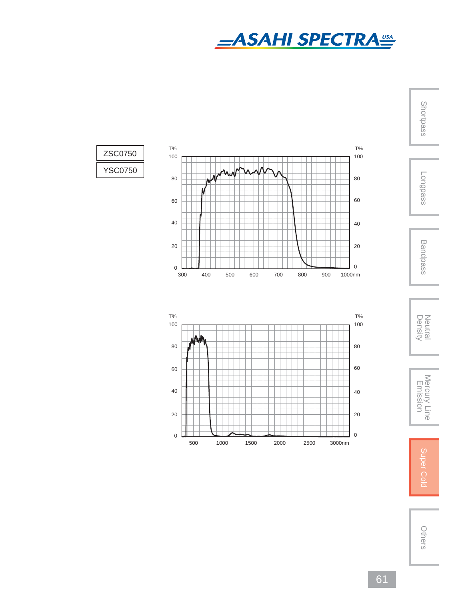

Shortpass



ZSC0750

YSC0750











Others